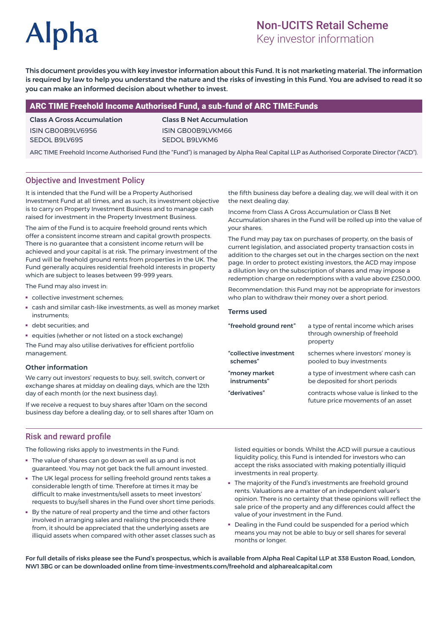# **Alpha**

# Non-UCITS Retail Scheme

Key investor information

This document provides you with key investor information about this Fund. It is not marketing material. The information is required by law to help you understand the nature and the risks of investing in this Fund. You are advised to read it so you can make an informed decision about whether to invest.

## ARC TIME Freehold Income Authorised Fund, a sub-fund of ARC TIME:Funds

#### Class A Gross Accumulation ISIN GB00B9LV6956 SEDOL B9LV695

Class B Net Accumulation ISIN GB00B9LVKM66 SEDOL B9LVKM6

ARC TIME Freehold Income Authorised Fund (the "Fund") is managed by Alpha Real Capital LLP as Authorised Corporate Director ("ACD").

# Objective and Investment Policy

It is intended that the Fund will be a Property Authorised Investment Fund at all times, and as such, its investment objective is to carry on Property Investment Business and to manage cash raised for investment in the Property Investment Business.

The aim of the Fund is to acquire freehold ground rents which offer a consistent income stream and capital growth prospects. There is no guarantee that a consistent income return will be achieved and your capital is at risk. The primary investment of the Fund will be freehold ground rents from properties in the UK. The Fund generally acquires residential freehold interests in property which are subject to leases between 99-999 years.

The Fund may also invest in:

- collective investment schemes;
- cash and similar cash-like investments, as well as money market instruments;
- debt securities; and
- equities (whether or not listed on a stock exchange)

The Fund may also utilise derivatives for efficient portfolio management.

#### Other information

We carry out investors' requests to buy, sell, switch, convert or exchange shares at midday on dealing days, which are the 12th day of each month (or the next business day).

If we receive a request to buy shares after 10am on the second business day before a dealing day, or to sell shares after 10am on

the fifth business day before a dealing day, we will deal with it on the next dealing day.

Income from Class A Gross Accumulation or Class B Net Accumulation shares in the Fund will be rolled up into the value of your shares.

The Fund may pay tax on purchases of property, on the basis of current legislation, and associated property transaction costs in addition to the charges set out in the charges section on the next page. In order to protect existing investors, the ACD may impose a dilution levy on the subscription of shares and may impose a redemption charge on redemptions with a value above £250,000.

Recommendation: this Fund may not be appropriate for investors who plan to withdraw their money over a short period.

#### Terms used

| "freehold ground rent" | a type of rental income which arises<br>through ownership of freehold<br>property |
|------------------------|-----------------------------------------------------------------------------------|
| "collective investment | schemes where investors' money is                                                 |
| schemes"               | pooled to buy investments                                                         |
| "money market          | a type of investment where cash can                                               |
| instruments"           | be deposited for short periods                                                    |
| "derivatives"          | contracts whose value is linked to the<br>future price movements of an asset      |

#### Risk and reward profile

The following risks apply to investments in the Fund:

- The value of shares can go down as well as up and is not guaranteed. You may not get back the full amount invested.
- The UK legal process for selling freehold ground rents takes a considerable length of time. Therefore at times it may be difficult to make investments/sell assets to meet investors' requests to buy/sell shares in the Fund over short time periods.
- By the nature of real property and the time and other factors involved in arranging sales and realising the proceeds there from, it should be appreciated that the underlying assets are illiquid assets when compared with other asset classes such as

listed equities or bonds. Whilst the ACD will pursue a cautious liquidity policy, this Fund is intended for investors who can accept the risks associated with making potentially illiquid investments in real property.

- The majority of the Fund's investments are freehold ground rents. Valuations are a matter of an independent valuer's opinion. There is no certainty that these opinions will reflect the sale price of the property and any differences could affect the value of your investment in the Fund.
- Dealing in the Fund could be suspended for a period which means you may not be able to buy or sell shares for several months or longer.

For full details of risks please see the Fund's prospectus, which is available from Alpha Real Capital LLP at 338 Euston Road, London, NW1 3BG or can be downloaded online from time-investments.com/freehold and alpharealcapital.com